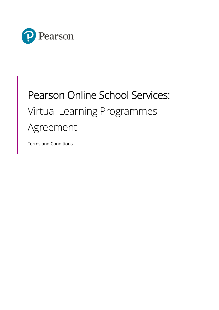

# Pearson Online School Services: Virtual Learning Programmes Agreement

Terms and Conditions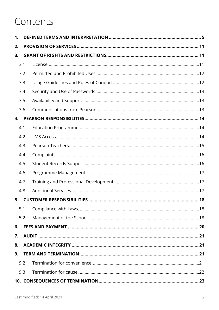## Contents

| $\mathbf 1$ . |     |  |
|---------------|-----|--|
| 2.            |     |  |
| 3.            |     |  |
|               | 3.1 |  |
|               | 3.2 |  |
|               | 3.3 |  |
|               | 3.4 |  |
|               | 3.5 |  |
|               | 3.6 |  |
| 4.            |     |  |
|               | 4.1 |  |
|               | 4.2 |  |
|               | 4.3 |  |
|               | 4.4 |  |
|               | 4.5 |  |
|               | 4.6 |  |
|               | 4.7 |  |
|               | 4.8 |  |
|               |     |  |
|               | 5.1 |  |
|               | 5.2 |  |
| 6.            |     |  |
| 7.            |     |  |
| 8.            |     |  |
| 9.            |     |  |
|               | 9.2 |  |
|               | 9.3 |  |
|               |     |  |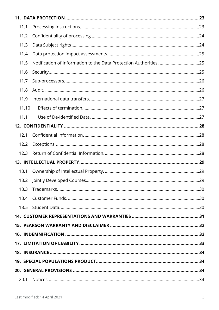| 11.1  |  |
|-------|--|
| 11.2  |  |
| 11.3  |  |
| 11.4  |  |
| 11.5  |  |
| 11.6  |  |
| 11.7  |  |
| 11.8  |  |
| 11.9  |  |
| 11.10 |  |
| 11.11 |  |
|       |  |
| 12.1  |  |
| 12.2  |  |
| 12.3  |  |
|       |  |
| 13.1  |  |
|       |  |
| 13.3  |  |
| 13.4  |  |
|       |  |
|       |  |
|       |  |
|       |  |
|       |  |
|       |  |
|       |  |
|       |  |
|       |  |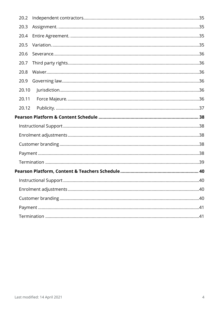| 20.2  |  |
|-------|--|
| 20.3  |  |
| 20.4  |  |
| 20.5  |  |
| 20.6  |  |
| 20.7  |  |
| 20.8  |  |
| 20.9  |  |
| 20.10 |  |
| 20.11 |  |
| 20.12 |  |
|       |  |
|       |  |
|       |  |
|       |  |
|       |  |
|       |  |
|       |  |
|       |  |
|       |  |
|       |  |
|       |  |
|       |  |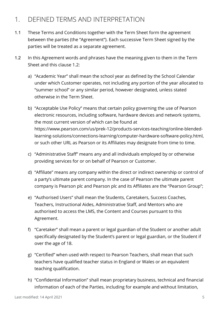### <span id="page-4-0"></span>1. DEFINED TERMS AND INTERPRETATION

- 1.1 These Terms and Conditions together with the Term Sheet form the agreement between the parties (the "Agreement"). Each successive Term Sheet signed by the parties will be treated as a separate agreement.
- 1.2 In this Agreement words and phrases have the meaning given to them in the Term Sheet and this clause 1.2:
	- a) "Academic Year" shall mean the school year as defined by the School Calendar under which Customer operates, not including any portion of the year allocated to "summer school" or any similar period, however designated, unless stated otherwise in the Term Sheet.
	- b) "Acceptable Use Policy" means that certain policy governing the use of Pearson electronic resources, including software, hardware devices and network systems, the most current version of which can be found at https://www.pearson.com/us/prek-12/products-services-teaching/online-blendedlearning-solutions/connections-learning/computer-hardware-software-policy.html, or such other URL as Pearson or its Affiliates may designate from time to time.
	- c) "Administrative Staff" means any and all individuals employed by or otherwise providing services for or on behalf of Pearson or Customer.
	- d) "Affiliate" means any company within the direct or indirect ownership or control of a party's ultimate parent company. In the case of Pearson the ultimate parent company is Pearson plc and Pearson plc and its Affiliates are the "Pearson Group";
	- e) "Authorised Users" shall mean the Students, Caretakers, Success Coaches, Teachers, Instructional Aides, Administrative Staff, and Mentors who are authorised to access the LMS, the Content and Courses pursuant to this Agreement.
	- f) "Caretaker" shall mean a parent or legal guardian of the Student or another adult specifically designated by the Student's parent or legal guardian, or the Student if over the age of 18.
	- g) "Certified" when used with respect to Pearson Teachers, shall mean that such teachers have qualified teacher status in England or Wales or an equivalent teaching qualification.
	- h) "Confidential Information" shall mean proprietary business, technical and financial information of each of the Parties, including for example and without limitation,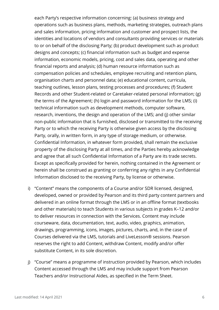each Party's respective information concerning: (a) business strategy and operations such as business plans, methods, marketing strategies, outreach plans and sales information, pricing information and customer and prospect lists, the identities and locations of vendors and consultants providing services or materials to or on behalf of the disclosing Party; (b) product development such as product designs and concepts; (c) financial information such as budget and expense information, economic models, pricing, cost and sales data, operating and other financial reports and analysis; (d) human resource information such as compensation policies and schedules, employee recruiting and retention plans, organisation charts and personnel data; (e) educational content, curricula, teaching outlines, lesson plans, testing processes and procedures; (f) Student Records and other Student-related or Caretaker-related personal information; (g) the terms of the Agreement; (h) login and password information for the LMS; (i) technical information such as development methods, computer software, research, inventions, the design and operation of the LMS; and (j) other similar non-public information that is furnished, disclosed or transmitted to the receiving Party or to which the receiving Party is otherwise given access by the disclosing Party, orally, in written form, in any type of storage medium, or otherwise. Confidential Information, in whatever form provided, shall remain the exclusive property of the disclosing Party at all times, and the Parties hereby acknowledge and agree that all such Confidential Information of a Party are its trade secrets. Except as specifically provided for herein, nothing contained in the Agreement or herein shall be construed as granting or conferring any rights in any Confidential Information disclosed to the receiving Party, by license or otherwise.

- i) "Content" means the components of a Course and/or SDR licensed, designed, developed, owned or provided by Pearson and its third party content partners and delivered in an online format through the LMS or in an offline format (textbooks and other materials) to teach Students in various subjects in grades K–12 and/or to deliver resources in connection with the Services. Content may include courseware, data, documentation, text, audio, video, graphics, animation, drawings, programming, icons, images, pictures, charts, and, in the case of Courses delivered via the LMS, tutorials and LiveLesson® sessions. Pearson reserves the right to add Content, withdraw Content, modify and/or offer substitute Content, in its sole discretion.
- j) "Course" means a programme of instruction provided by Pearson, which includes Content accessed through the LMS and may include support from Pearson Teachers and/or Instructional Aides, as specified in the Term Sheet.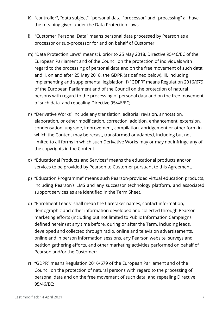- k) "controller", "data subject", "personal data, "processor" and "processing" all have the meaning given under the Data Protection Laws;
- l) "Customer Personal Data" means personal data processed by Pearson as a processor or sub-processor for and on behalf of Customer;
- m) "Data Protection Laws" means: i. prior to 25 May 2018, Directive 95/46/EC of the European Parliament and of the Council on the protection of individuals with regard to the processing of personal data and on the free movement of such data; and ii. on and after 25 May 2018, the GDPR (as defined below), iii. including implementing and supplemental legislation; f) "GDPR" means Regulation 2016/679 of the European Parliament and of the Council on the protection of natural persons with regard to the processing of personal data and on the free movement of such data, and repealing Directive 95/46/EC;
- n) "Derivative Works" include any translation, editorial revision, annotation, elaboration, or other modification, correction, addition, enhancement, extension, condensation, upgrade, improvement, compilation, abridgement or other form in which the Content may be recast, transformed or adapted, including but not limited to all forms in which such Derivative Works may or may not infringe any of the copyrights in the Content.
- o) "Educational Products and Services" means the educational products and/or services to be provided by Pearson to Customer pursuant to this Agreement.
- p) "Education Programme" means such Pearson-provided virtual education products, including Pearson's LMS and any successor technology platform, and associated support services as are identified in the Term Sheet.
- q) "Enrolment Leads" shall mean the Caretaker names, contact information, demographic and other information developed and collected through Pearson marketing efforts (including but not limited to Public Information Campaigns defined herein) at any time before, during or after the Term, including leads, developed and collected through radio, online and television advertisements, online and in person information sessions, any Pearson website, surveys and petition gathering efforts, and other marketing activities performed on behalf of Pearson and/or the Customer;
- r) "GDPR" means Regulation 2016/679 of the European Parliament and of the Council on the protection of natural persons with regard to the processing of personal data and on the free movement of such data, and repealing Directive 95/46/EC;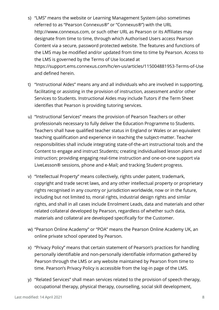- s) "LMS" means the website or Learning Management System (also sometimes referred to as "Pearson Connexus®" or "Connexus®") with the URL http://www.connexus.com, or such other URL as Pearson or its Affiliates may designate from time to time, through which Authorised Users access Pearson Content via a secure, password protected website. The features and functions of the LMS may be modified and/or updated from time to time by Pearson. Access to the LMS is governed by the Terms of Use located at https://support.ems.connexus.com/hc/en-us/articles/115004881953-Terms-of-Use and defined herein.
- t) "Instructional Aides" means any and all individuals who are involved in supporting, facilitating or assisting in the provision of instruction, assessment and/or other Services to Students. Instructional Aides may include Tutors if the Term Sheet identifies that Pearson is providing tutoring services.
- u) "Instructional Services" means the provision of Pearson Teachers or other professionals necessary to fully deliver the Education Programme to Students. Teachers shall have qualified teacher status in England or Wales or an equivalent teaching qualification and experience in teaching the subject-matter. Teacher responsibilities shall include integrating state-of-the-art instructional tools and the Content to engage and instruct Students; creating individualised lesson plans and instruction; providing engaging real-time instruction and one-on-one support via LiveLesson® sessions, phone and e-Mail; and tracking Student progress.
- v) "Intellectual Property" means collectively, rights under patent, trademark, copyright and trade secret laws, and any other intellectual property or proprietary rights recognised in any country or jurisdiction worldwide, now or in the future, including but not limited to, moral rights, industrial design rights and similar rights, and shall in all cases include Enrolment Leads, data and materials and other related collateral developed by Pearson, regardless of whether such data, materials and collateral are developed specifically for the Customer.
- w) "Pearson Online Academy" or "POA" means the Pearson Online Academy UK, an online private school operated by Pearson.
- x) "Privacy Policy" means that certain statement of Pearson's practices for handling personally identifiable and non-personally identifiable information gathered by Pearson through the LMS or any website maintained by Pearson from time to time. Pearson's Privacy Policy is accessible from the log-in page of the LMS.
- y) "Related Services" shall mean services related to the provision of speech therapy, occupational therapy, physical therapy, counselling, social skill development,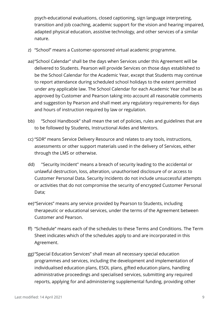psych-educational evaluations, closed captioning, sign language interpreting, transition and job coaching, academic support for the vision and hearing impaired, adapted physical education, assistive technology, and other services of a similar nature.

- z) "School" means a Customer-sponsored virtual academic programme.
- aa)"School Calendar" shall be the days when Services under this Agreement will be delivered to Students. Pearson will provide Services on those days established to be the School Calendar for the Academic Year, except that Students may continue to report attendance during scheduled school holidays to the extent permitted under any applicable law. The School Calendar for each Academic Year shall be as approved by Customer and Pearson taking into account all reasonable comments and suggestion by Pearson and shall meet any regulatory requirements for days and hours of instruction required by law or regulation.
- bb) "School Handbook" shall mean the set of policies, rules and guidelines that are to be followed by Students, Instructional Aides and Mentors.
- cc) "SDR" means Service Delivery Resource and relates to any tools, instructions, assessments or other support materials used in the delivery of Services, either through the LMS or otherwise.
- dd) "Security Incident" means a breach of security leading to the accidental or unlawful destruction, loss, alteration, unauthorised disclosure of or access to Customer Personal Data. Security Incidents do not include unsuccessful attempts or activities that do not compromise the security of encrypted Customer Personal Data;
- ee)"Services" means any service provided by Pearson to Students, including therapeutic or educational services, under the terms of the Agreement between Customer and Pearson.
- ff) "Schedule" means each of the schedules to these Terms and Conditions. The Term Sheet indicates which of the schedules apply to and are incorporated in this Agreement.
- gg)"Special Education Services" shall mean all necessary special education programmes and services, including the development and implementation of individualised education plans, ESOL plans, gifted education plans, handling administrative proceedings and specialised services, submitting any required reports, applying for and administering supplemental funding, providing other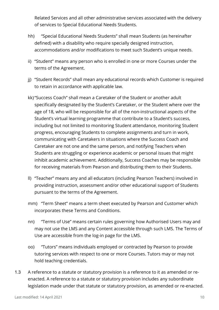Related Services and all other administrative services associated with the delivery of services to Special Educational Needs Students.

- hh) "Special Educational Needs Students" shall mean Students (as hereinafter defined) with a disability who require specially designed instruction, accommodations and/or modifications to meet such Student's unique needs.
- ii) "Student" means any person who is enrolled in one or more Courses under the terms of the Agreement.
- jj) "Student Records" shall mean any educational records which Customer is required to retain in accordance with applicable law.
- kk)"Success Coach" shall mean a Caretaker of the Student or another adult specifically designated by the Student's Caretaker, or the Student where over the age of 18, who will be responsible for all of the non-instructional aspects of the Student's virtual learning programme that contribute to a Student's success, including but not limited to monitoring Student attendance, monitoring Student progress, encouraging Students to complete assignments and turn in work, communicating with Caretakers in situations where the Success Coach and Caretaker are not one and the same person, and notifying Teachers when Students are struggling or experience academic or personal issues that might inhibit academic achievement. Additionally, Success Coaches may be responsible for receiving materials from Pearson and distributing them to their Students.
- ll) "Teacher" means any and all educators (including Pearson Teachers) involved in providing instruction, assessment and/or other educational support of Students pursuant to the terms of the Agreement.
- mm) "Term Sheet" means a term sheet executed by Pearson and Customer which incorporates these Terms and Conditions.
- nn) "Terms of Use" means certain rules governing how Authorised Users may and may not use the LMS and any Content accessible through such LMS. The Terms of Use are accessible from the log-in page for the LMS.
- oo) "Tutors" means individuals employed or contracted by Pearson to provide tutoring services with respect to one or more Courses. Tutors may or may not hold teaching credentials.
- 1.3 A reference to a statute or statutory provision is a reference to it as amended or reenacted. A reference to a statute or statutory provision includes any subordinate legislation made under that statute or statutory provision, as amended or re-enacted.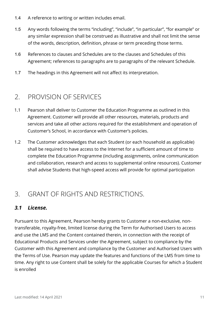- 1.4 A reference to writing or written includes email.
- 1.5 Any words following the terms "including", "include", "in particular", "for example" or any similar expression shall be construed as illustrative and shall not limit the sense of the words, description, definition, phrase or term preceding those terms.
- 1.6 References to clauses and Schedules are to the clauses and Schedules of this Agreement; references to paragraphs are to paragraphs of the relevant Schedule.
- 1.7 The headings in this Agreement will not affect its interpretation.

### <span id="page-10-0"></span>2. PROVISION OF SERVICES

- 1.1 Pearson shall deliver to Customer the Education Programme as outlined in this Agreement. Customer will provide all other resources, materials, products and services and take all other actions required for the establishment and operation of Customer's School, in accordance with Customer's policies.
- 1.2 The Customer acknowledges that each Student (or each household as applicable) shall be required to have access to the Internet for a sufficient amount of time to complete the Education Programme (including assignments, online communication and collaboration, research and access to supplemental online resources). Customer shall advise Students that high-speed access will provide for optimal participation

### <span id="page-10-1"></span>3. GRANT OF RIGHTS AND RESTRICTIONS.

#### <span id="page-10-2"></span>*3.1 License.*

Pursuant to this Agreement, Pearson hereby grants to Customer a non-exclusive, nontransferable, royalty-free, limited license during the Term for Authorised Users to access and use the LMS and the Content contained therein, in connection with the receipt of Educational Products and Services under the Agreement, subject to compliance by the Customer with this Agreement and compliance by the Customer and Authorised Users with the Terms of Use. Pearson may update the features and functions of the LMS from time to time. Any right to use Content shall be solely for the applicable Courses for which a Student is enrolled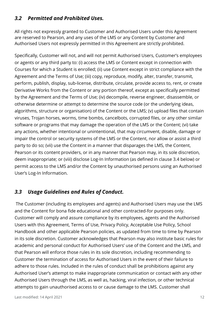#### <span id="page-11-0"></span>*3.2 Permitted and Prohibited Uses.*

All rights not expressly granted to Customer and Authorised Users under this Agreement are reserved to Pearson, and any uses of the LMS or any Content by Customer and Authorised Users not expressly permitted in this Agreement are strictly prohibited.

Specifically, Customer will not, and will not permit Authorised Users, Customer's employees or agents or any third party to: (i) access the LMS or Content except in connection with Courses for which a Student is enrolled; (ii) use Content except in strict compliance with the Agreement and the Terms of Use; (iii) copy, reproduce, modify, alter, transfer, transmit, perform, publish, display, sub-license, distribute, circulate, provide access to, rent, or create Derivative Works from the Content or any portion thereof, except as specifically permitted by the Agreement and the Terms of Use; (iv) decompile, reverse engineer, disassemble, or otherwise determine or attempt to determine the source code (or the underlying ideas, algorithms, structure or organisation) of the Content or the LMS; (v) upload files that contain viruses, Trojan horses, worms, time bombs, cancelbots, corrupted files, or any other similar software or programs that may damage the operation of the LMS or the Content; (vi) take any actions, whether intentional or unintentional, that may circumvent, disable, damage or impair the control or security systems of the LMS or the Content, nor allow or assist a third party to do so; (vii) use the Content in a manner that disparages the LMS, the Content, Pearson or its content providers, or in any manner that Pearson may, in its sole discretion, deem inappropriate; or (viii) disclose Log-In Information (as defined in clause 3.4 below) or permit access to the LMS and/or the Content by unauthorised persons using an Authorised User's Log-In Information.

#### <span id="page-11-1"></span>*3.3 Usage Guidelines and Rules of Conduct.*

The Customer (including its employees and agents) and Authorised Users may use the LMS and the Content for bona fide educational and other contracted-for purposes only. Customer will comply and assure compliance by its employees, agents and the Authorised Users with this Agreement, Terms of Use, Privacy Policy, Acceptable Use Policy, School Handbook and other applicable Pearson policies, as updated from time to time by Pearson in its sole discretion. Customer acknowledges that Pearson may also institute basic rules for academic and personal conduct for Authorised Users' use of the Content and the LMS, and that Pearson will enforce those rules in its sole discretion, including recommending to Customer the termination of access for Authorised Users in the event of their failure to adhere to those rules. Included in the rules of conduct shall be prohibitions against any Authorised User's attempt to make inappropriate communication or contact with any other Authorised Users through the LMS, as well as, hacking, viral infection, or other technical attempts to gain unauthorised access to or cause damage to the LMS. Customer shall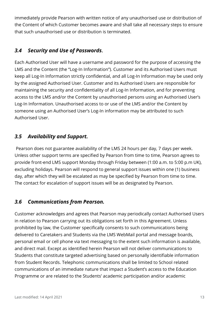immediately provide Pearson with written notice of any unauthorised use or distribution of the Content of which Customer becomes aware and shall take all necessary steps to ensure that such unauthorised use or distribution is terminated.

#### <span id="page-12-0"></span>*3.4 Security and Use of Passwords***.**

Each Authorised User will have a username and password for the purpose of accessing the LMS and the Content (the "Log-In Information"). Customer and its Authorised Users must keep all Log-In Information strictly confidential, and all Log-In Information may be used only by the assigned Authorised User. Customer and its Authorised Users are responsible for maintaining the security and confidentiality of all Log-In Information, and for preventing access to the LMS and/or the Content by unauthorised persons using an Authorised User's Log-In Information. Unauthorised access to or use of the LMS and/or the Content by someone using an Authorised User's Log-In information may be attributed to such Authorised User.

#### <span id="page-12-1"></span>*3.5 Availability and Support.*

Pearson does not guarantee availability of the LMS 24 hours per day, 7 days per week. Unless other support terms are specified by Pearson from time to time, Pearson agrees to provide front-end LMS support Monday through Friday between (1:00 a.m. to 5:00 p.m UK), excluding holidays. Pearson will respond to general support issues within one (1) business day, after which they will be escalated as may be specified by Pearson from time to time. The contact for escalation of support issues will be as designated by Pearson.

#### <span id="page-12-2"></span>*3.6 Communications from Pearson.*

Customer acknowledges and agrees that Pearson may periodically contact Authorised Users in relation to Pearson carrying out its obligations set forth in this Agreement. Unless prohibited by law, the Customer specifically consents to such communications being delivered to Caretakers and Students via the LMS WebMail portal and message boards, personal email or cell phone via text messaging to the extent such information is available, and direct mail. Except as identified herein Pearson will not deliver communications to Students that constitute targeted advertising based on personally identifiable information from Student Records. Telephonic communications shall be limited to School related communications of an immediate nature that impact a Student's access to the Education Programme or are related to the Students' academic participation and/or academic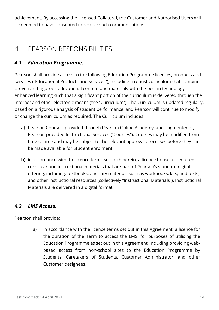achievement. By accessing the Licensed Collateral, the Customer and Authorised Users will be deemed to have consented to receive such communications.

### <span id="page-13-0"></span>4. PEARSON RESPONSIBILITIES

#### <span id="page-13-1"></span>*4.1 Education Programme.*

Pearson shall provide access to the following Education Programme licences, products and services ("Educational Products and Services"), including a robust curriculum that combines proven and rigorous educational content and materials with the best in technologyenhanced learning such that a significant portion of the curriculum is delivered through the internet and other electronic means (the "Curriculum"). The Curriculum is updated regularly, based on a rigorous analysis of student performance, and Pearson will continue to modify or change the curriculum as required. The Curriculum includes:

- a) Pearson Courses, provided through Pearson Online Academy, and augmented by Pearson-provided Instructional Services ("Courses"). Courses may be modified from time to time and may be subject to the relevant approval processes before they can be made available for Student enrolment.
- b) in accordance with the licence terms set forth herein, a licence to use all required curricular and instructional materials that are part of Pearson's standard digital offering, including: textbooks; ancillary materials such as workbooks, kits, and texts; and other instructional resources (collectively "Instructional Materials"). Instructional Materials are delivered in a digital format.

#### <span id="page-13-2"></span>*4.2 LMS Access.*

Pearson shall provide:

a) in accordance with the licence terms set out in this Agreement, a licence for the duration of the Term to access the LMS, for purposes of utilising the Education Programme as set out in this Agreement, including providing webbased access from non-school sites to the Education Programme by Students, Caretakers of Students, Customer Administrator, and other Customer designees.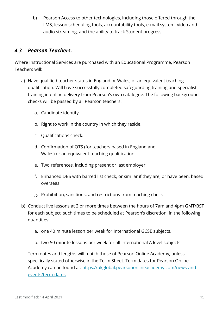b) Pearson Access to other technologies, including those offered through the LMS, lesson scheduling tools, accountability tools, e-mail system, video and audio streaming, and the ability to track Student progress

#### <span id="page-14-0"></span>*4.3 Pearson Teachers.*

Where Instructional Services are purchased with an Educational Programme, Pearson Teachers will:

- a) Have qualified teacher status in England or Wales, or an equivalent teaching qualification. Will have successfully completed safeguarding training and specialist training in online delivery from Pearson's own catalogue. The following background checks will be passed by all Pearson teachers:
	- a. Candidate identity.
	- b. Right to work in the country in which they reside.
	- c. Qualifications check.
	- d. Confirmation of QTS (for teachers based in England and Wales) or an equivalent teaching qualification
	- e. Two references, including present or last employer.
	- f. Enhanced DBS with barred list check, or similar if they are, or have been, based overseas.
	- g. Prohibition, sanctions, and restrictions from teaching check
- b) Conduct live lessons at 2 or more times between the hours of 7am and 4pm GMT/BST for each subject, such times to be scheduled at Pearson's discretion, in the following quantities:
	- a. one 40 minute lesson per week for International GCSE subjects.
	- b. two 50 minute lessons per week for all International A level subjects.

Term dates and lengths will match those of Pearson Online Academy, unless specifically stated otherwise in the Term Sheet. Term dates for Pearson Online Academy can be found at: [https://ukglobal.pearsononlineacademy.com/news-and](https://ukglobal.pearsononlineacademy.com/news-and-events/term-dates)[events/term-dates](https://ukglobal.pearsononlineacademy.com/news-and-events/term-dates)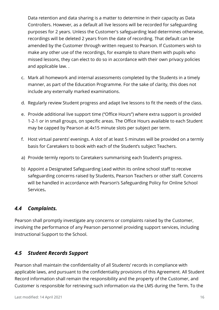Data retention and data sharing is a matter to determine in their capacity as Data Controllers. However, as a default all live lessons will be recorded for safeguarding purposes for 2 years. Unless the Customer's safeguarding lead determines otherwise, recordings will be deleted 2 years from the date of recording. That default can be amended by the Customer through written request to Pearson. If Customers wish to make any other use of the recordings, for example to share them with pupils who missed lessons, they can elect to do so in accordance with their own privacy policies and applicable law. .

- c. Mark all homework and internal assessments completed by the Students in a timely manner, as part of the Education Programme. For the sake of clarity, this does not include any externally marked examinations.
- d. Regularly review Student progress and adapt live lessons to fit the needs of the class.
- e. Provide additional live support time ("Office Hours") where extra support is provided 1-2-1 or in small groups, on specific areas. The Office Hours available to each Student may be capped by Pearson at 4x15 minute slots per subject per term.
- f. Host virtual parents' evenings. A slot of at least 5 minutes will be provided on a termly basis for Caretakers to book with each of the Student's subject Teachers.
- a) Provide termly reports to Caretakers summarising each Student's progress.
- b) Appoint a Designated Safeguarding Lead within its online school staff to receive safeguarding concerns raised by Students, Pearson Teachers or other staff. Concerns will be handled in accordance with Pearson's Safeguarding Policy for Online School Services**.**

#### <span id="page-15-0"></span>*4.4 Complaints.*

Pearson shall promptly investigate any concerns or complaints raised by the Customer, involving the performance of any Pearson personnel providing support services, including Instructional Support to the School.

#### <span id="page-15-1"></span>*4.5 Student Records Support*

Pearson shall maintain the confidentiality of all Students' records in compliance with applicable laws, and pursuant to the confidentiality provisions of this Agreement. All Student Record information shall remain the responsibility and the property of the Customer, and Customer is responsible for retrieving such information via the LMS during the Term. To the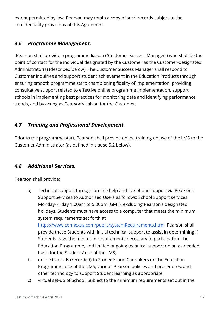extent permitted by law, Pearson may retain a copy of such records subject to the confidentiality provisions of this Agreement.

#### <span id="page-16-0"></span>*4.6 Programme Management.*

Pearson shall provide a programme liaison ("Customer Success Manager") who shall be the point of contact for the individual designated by the Customer as the Customer-designated Administrator(s) (described below). The Customer Success Manager shall respond to Customer inquiries and support student achievement in the Education Products through ensuring smooth programme start; championing fidelity of implementation; providing consultative support related to effective online programme implementation, support schools in implementing best practices for monitoring data and identifying performance trends, and by acting as Pearson's liaison for the Customer.

#### <span id="page-16-1"></span>*4.7 Training and Professional Development.*

Prior to the programme start, Pearson shall provide online training on use of the LMS to the Customer Administrator (as defined in clause 5.2 below).

#### <span id="page-16-2"></span>*4.8 Additional Services.*

Pearson shall provide:

a) Technical support through on-line help and live phone support via Pearson's Support Services to Authorised Users as follows: School Support services Monday-Friday 1:00am to 5:00pm (GMT), excluding Pearson's designated holidays. Students must have access to a computer that meets the minimum system requirements set forth at

[https://www.connexus.com/public/systemRequirements.html.](https://www.connexus.com/public/systemRequirements.html) Pearson shall provide these Students with initial technical support to assist in determining if Students have the minimum requirements necessary to participate in the Education Programme, and limited ongoing technical support on an as-needed basis for the Students' use of the LMS;

- b) online tutorials (recorded) to Students and Caretakers on the Education Programme, use of the LMS, various Pearson policies and procedures, and other technology to support Student learning as appropriate;
- c) virtual set-up of School. Subject to the minimum requirements set out in the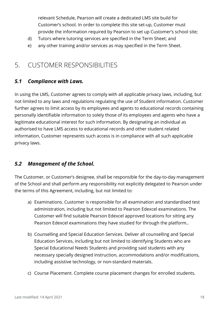relevant Schedule, Pearson will create a dedicated LMS site build for Customer's school. In order to complete this site set-up, Customer must provide the information required by Pearson to set up Customer's school site;

- d) Tutors where tutoring services are specified in the Term Sheet; and
- e) any other training and/or services as may specified in the Term Sheet.

### <span id="page-17-0"></span>5. CUSTOMER RESPONSIBILITIES

#### <span id="page-17-1"></span>*5.1 Compliance with Laws.*

In using the LMS, Customer agrees to comply with all applicable privacy laws, including, but not limited to any laws and regulations regulating the use of Student information. Customer further agrees to limit access by its employees and agents to educational records containing personally identifiable information to solely those of its employees and agents who have a legitimate educational interest for such information. By designating an individual as authorised to have LMS access to educational records and other student related information, Customer represents such access is in compliance with all such applicable privacy laws.

#### <span id="page-17-2"></span>*5.2 Management of the School.*

The Customer, or Customer's designee, shall be responsible for the day-to-day management of the School and shall perform any responsibility not explicitly delegated to Pearson under the terms of this Agreement, including, but not limited to:

- a) Examinations. Customer is responsible for all examination and standardised test administration, including but not limited to Pearson Edexcel examinations. The Customer will find suitable Pearson Edexcel approved locations for sitting any Pearson Edexcel examinations they have studied for through the platform..
- b) Counselling and Special Education Services. Deliver all counselling and Special Education Services, including but not limited to identifying Students who are Special Educational Needs Students and providing said students with any necessary specially designed instruction, accommodations and/or modifications, including assistive technology, or non-standard materials.
- c) Course Placement. Complete course placement changes for enrolled students.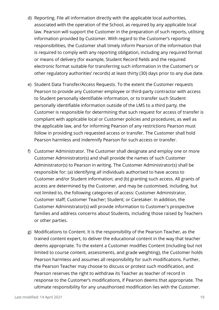- d) Reporting. File all information directly with the applicable local authorities, associated with the operation of the School, as required by any applicable local law. Pearson will support the Customer in the preparation of such reports, utilising information provided by Customer. With regard to the Customer's reporting responsibilities, the Customer shall timely inform Pearson of the information that is required to comply with any reporting obligation, including any required format or means of delivery (for example, Student Record fields and the required electronic format suitable for transferring such information in the Customer's or other regulatory authorities' records) at least thirty (30) days prior to any due date.
- e) Student Data Transfer/Access Requests. To the extent the Customer requests Pearson to provide any Customer employee or third-party contractor with access to Student personally identifiable information, or to transfer such Student personally identifiable information outside of the LMS to a third party, the Customer is responsible for determining that such request for access of transfer is compliant with applicable local or Customer policies and procedures, as well as the applicable law, and for informing Pearson of any restrictions Pearson must follow in providing such requested access or transfer. The Customer shall hold Pearson harmless and indemnify Pearson for such access or transfer.
- f) Customer Administrator. The Customer shall designate and employ one or more Customer Administrator(s) and shall provide the names of such Customer Administrator(s) to Pearson in writing. The Customer Administrator(s) shall be responsible for: (a) identifying all individuals authorised to have access to Customer and/or Student information; and (b) granting such access. All grants of access are determined by the Customer, and may be customised, including, but not limited to, the following categories of access: Customer Administrator, Customer staff; Customer Teacher; Student; or Caretaker. In addition, the Customer Administrator(s) will provide information to Customer's prospective families and address concerns about Students, including those raised by Teachers or other parties.
- g) Modifications to Content. It is the responsibility of the Pearson Teacher, as the trained content expert, to deliver the educational content in the way that teacher deems appropriate. To the extent a Customer modifies Content (including but not limited to course content, assessments, and grade weighting), the Customer holds Pearson harmless and assumes all responsibility for such modifications. Further, the Pearson Teacher may choose to discuss or protest such modification, and Pearson reserves the right to withdraw its Teacher as teacher of record in response to the Customer's modifications, if Pearson deems that appropriate. The ultimate responsibility for any unauthorised modification lies with the Customer.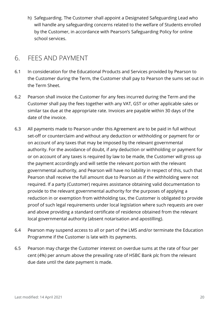h) Safeguarding. The Customer shall appoint a Designated Safeguarding Lead who will handle any safeguarding concerns related to the welfare of Students enrolled by the Customer, in accordance with Pearson's Safeguarding Policy for online school services.

### <span id="page-19-0"></span>6. FEES AND PAYMENT

- 6.1 In consideration for the Educational Products and Services provided by Pearson to the Customer during the Term, the Customer shall pay to Pearson the sums set out in the Term Sheet.
- 6.2 Pearson shall invoice the Customer for any fees incurred during the Term and the Customer shall pay the fees together with any VAT, GST or other applicable sales or similar tax due at the appropriate rate. Invoices are payable within 30 days of the date of the invoice.
- 6.3 All payments made to Pearson under this Agreement are to be paid in full without set-off or counterclaim and without any deduction or withholding or payment for or on account of any taxes that may be imposed by the relevant governmental authority. For the avoidance of doubt, if any deduction or withholding or payment for or on account of any taxes is required by law to be made, the Customer will gross up the payment accordingly and will settle the relevant portion with the relevant governmental authority, and Pearson will have no liability in respect of this, such that Pearson shall receive the full amount due to Pearson as if the withholding were not required. If a party (Customer) requires assistance obtaining valid documentation to provide to the relevant governmental authority for the purposes of applying a reduction in or exemption from withholding tax, the Customer is obligated to provide proof of such legal requirements under local legislation where such requests are over and above providing a standard certificate of residence obtained from the relevant local governmental authority (absent notarisation and apostilling).
- 6.4 Pearson may suspend access to all or part of the LMS and/or terminate the Education Programme if the Customer is late with its payments.
- 6.5 Pearson may charge the Customer interest on overdue sums at the rate of four per cent (4%) per annum above the prevailing rate of HSBC Bank plc from the relevant due date until the date payment is made.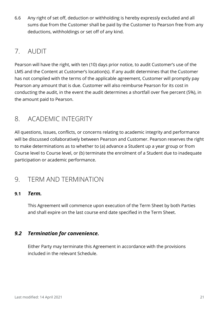6.6 Any right of set off, deduction or withholding is hereby expressly excluded and all sums due from the Customer shall be paid by the Customer to Pearson free from any deductions, withholdings or set off of any kind.

### <span id="page-20-0"></span>7. AUDIT

Pearson will have the right, with ten (10) days prior notice, to audit Customer's use of the LMS and the Content at Customer's location(s). If any audit determines that the Customer has not complied with the terms of the applicable agreement, Customer will promptly pay Pearson any amount that is due. Customer will also reimburse Pearson for its cost in conducting the audit, in the event the audit determines a shortfall over five percent (5%), in the amount paid to Pearson.

### <span id="page-20-1"></span>8. ACADEMIC INTEGRITY

All questions, issues, conflicts, or concerns relating to academic integrity and performance will be discussed collaboratively between Pearson and Customer. Pearson reserves the right to make determinations as to whether to (a) advance a Student up a year group or from Course level to Course level, or (b) terminate the enrolment of a Student due to inadequate participation or academic performance.

### <span id="page-20-2"></span>9. TERM AND TERMINATION

#### **9.1** *Term.*

This Agreement will commence upon execution of the Term Sheet by both Parties and shall expire on the last course end date specified in the Term Sheet.

#### <span id="page-20-3"></span>*9.2 Termination for convenience.*

Either Party may terminate this Agreement in accordance with the provisions included in the relevant Schedule.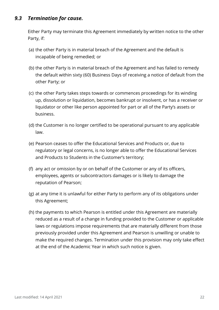#### <span id="page-21-0"></span>*9.3 Termination for cause.*

Either Party may terminate this Agreement immediately by written notice to the other Party, if:

- (a) the other Party is in material breach of the Agreement and the default is incapable of being remedied; or
- (b) the other Party is in material breach of the Agreement and has failed to remedy the default within sixty (60) Business Days of receiving a notice of default from the other Party; or
- (c) the other Party takes steps towards or commences proceedings for its winding up, dissolution or liquidation, becomes bankrupt or insolvent, or has a receiver or liquidator or other like person appointed for part or all of the Party's assets or business.
- (d) the Customer is no longer certified to be operational pursuant to any applicable law.
- (e) Pearson ceases to offer the Educational Services and Products or, due to regulatory or legal concerns, is no longer able to offer the Educational Services and Products to Students in the Customer's territory;
- (f) any act or omission by or on behalf of the Customer or any of its officers, employees, agents or subcontractors damages or is likely to damage the reputation of Pearson;
- (g) at any time it is unlawful for either Party to perform any of its obligations under this Agreement;
- (h) the payments to which Pearson is entitled under this Agreement are materially reduced as a result of a change in funding provided to the Customer or applicable laws or regulations impose requirements that are materially different from those previously provided under this Agreement and Pearson is unwilling or unable to make the required changes. Termination under this provision may only take effect at the end of the Academic Year in which such notice is given.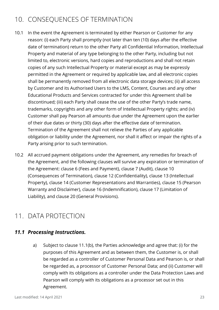### <span id="page-22-0"></span>10. CONSEQUENCES OF TERMINATION

- 10.1 In the event the Agreement is terminated by either Pearson or Customer for any reason: (i) each Party shall promptly (not later than ten (10) days after the effective date of termination) return to the other Party all Confidential Information, Intellectual Property and material of any type belonging to the other Party, including but not limited to, electronic versions, hard copies and reproductions and shall not retain copies of any such Intellectual Property or material except as may be expressly permitted in the Agreement or required by applicable law, and all electronic copies shall be permanently removed from all electronic data storage devices; (ii) all access by Customer and its Authorised Users to the LMS, Content, Courses and any other Educational Products and Services contracted for under this Agreement shall be discontinued; (iii) each Party shall cease the use of the other Party's trade name, trademarks, copyrights and any other form of Intellectual Property rights; and (iv) Customer shall pay Pearson all amounts due under the Agreement upon the earlier of their due dates or thirty (30) days after the effective date of termination. Termination of the Agreement shall not relieve the Parties of any applicable obligation or liability under the Agreement, nor shall it affect or impair the rights of a Party arising prior to such termination.
- 10.2 All accrued payment obligations under the Agreement, any remedies for breach of the Agreement, and the following clauses will survive any expiration or termination of the Agreement: clause 6 (Fees and Payment), clause 7 (Audit), clause 10 (Consequences of Termination), clause 12 (Confidentiality), clause 13 (Intellectual Property), clause 14 (Customer Representations and Warranties), clause 15 (Pearson Warranty and Disclaimer), clause 16 (Indemnification), clause 17 (Limitation of Liability), and clause 20 (General Provisions).

### <span id="page-22-1"></span>11. DATA PROTECTION

#### <span id="page-22-2"></span>*11.1 Processing Instructions.*

a) Subject to clause 11.1(b), the Parties acknowledge and agree that: (i) for the purposes of this Agreement and as between them, the Customer is, or shall be regarded as a controller of Customer Personal Data and Pearson is, or shall be regarded as, a processor of Customer Personal Data; and (ii) Customer will comply with its obligations as a controller under the Data Protection Laws and Pearson will comply with its obligations as a processor set out in this Agreement.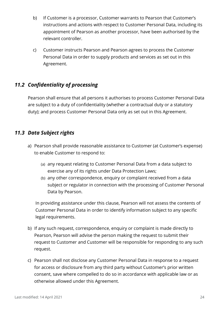- b) If Customer is a processor, Customer warrants to Pearson that Customer's instructions and actions with respect to Customer Personal Data, including its appointment of Pearson as another processor, have been authorised by the relevant controller.
- c) Customer instructs Pearson and Pearson agrees to process the Customer Personal Data in order to supply products and services as set out in this Agreement.

#### <span id="page-23-0"></span>*11.2 Confidentiality of processing*

Pearson shall ensure that all persons it authorises to process Customer Personal Data are subject to a duty of confidentiality (whether a contractual duty or a statutory duty); and process Customer Personal Data only as set out in this Agreement.

#### <span id="page-23-1"></span>*11.3 Data Subject rights*

- a) Pearson shall provide reasonable assistance to Customer (at Customer's expense) to enable Customer to respond to:
	- (a) any request relating to Customer Personal Data from a data subject to exercise any of its rights under Data Protection Laws;
	- (b) any other correspondence, enquiry or complaint received from a data subject or regulator in connection with the processing of Customer Personal Data by Pearson.

In providing assistance under this clause, Pearson will not assess the contents of Customer Personal Data in order to identify information subject to any specific legal requirements.

- b) If any such request, correspondence, enquiry or complaint is made directly to Pearson, Pearson will advise the person making the request to submit their request to Customer and Customer will be responsible for responding to any such request.
- c) Pearson shall not disclose any Customer Personal Data in response to a request for access or disclosure from any third party without Customer's prior written consent, save where compelled to do so in accordance with applicable law or as otherwise allowed under this Agreement.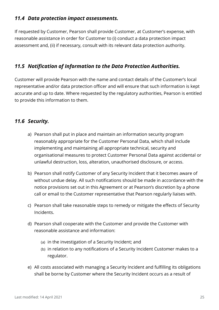#### <span id="page-24-0"></span>*11.4 Data protection impact assessments.*

If requested by Customer, Pearson shall provide Customer, at Customer's expense, with reasonable assistance in order for Customer to (i) conduct a data protection impact assessment and, (ii) if necessary, consult with its relevant data protection authority.

#### <span id="page-24-1"></span>*11.5 Notification of Information to the Data Protection Authorities.*

Customer will provide Pearson with the name and contact details of the Customer's local representative and/or data protection officer and will ensure that such information is kept accurate and up to date. Where requested by the regulatory authorities, Pearson is entitled to provide this information to them.

#### <span id="page-24-2"></span>*11.6 Security.*

- a) Pearson shall put in place and maintain an information security program reasonably appropriate for the Customer Personal Data, which shall include implementing and maintaining all appropriate technical, security and organisational measures to protect Customer Personal Data against accidental or unlawful destruction, loss, alteration, unauthorised disclosure, or access.
- b) Pearson shall notify Customer of any Security Incident that it becomes aware of without undue delay. All such notifications should be made in accordance with the notice provisions set out in this Agreement or at Pearson's discretion by a phone call or email to the Customer representative that Pearson regularly liaises with.
- c) Pearson shall take reasonable steps to remedy or mitigate the effects of Security Incidents.
- d) Pearson shall cooperate with the Customer and provide the Customer with reasonable assistance and information:
	- (a) in the investigation of a Security Incident; and
	- (b) in relation to any notifications of a Security Incident Customer makes to a regulator.
- e) All costs associated with managing a Security Incident and fulfilling its obligations shall be borne by Customer where the Security Incident occurs as a result of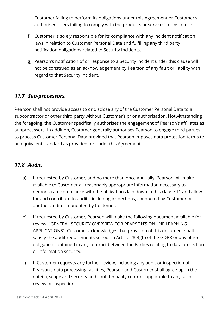Customer failing to perform its obligations under this Agreement or Customer's authorised users failing to comply with the products or services' terms of use.

- f) Customer is solely responsible for its compliance with any incident notification laws in relation to Customer Personal Data and fulfilling any third party notification obligations related to Security Incidents.
- g) Pearson's notification of or response to a Security Incident under this clause will not be construed as an acknowledgement by Pearson of any fault or liability with regard to that Security Incident.

#### <span id="page-25-0"></span>*11.7 Sub-processors.*

Pearson shall not provide access to or disclose any of the Customer Personal Data to a subcontractor or other third party without Customer's prior authorisation. Notwithstanding the foregoing, the Customer specifically authorises the engagement of Pearson's affiliates as subprocessors. In addition, Customer generally authorises Pearson to engage third parties to process Customer Personal Data provided that Pearson imposes data protection terms to an equivalent standard as provided for under this Agreement.

#### <span id="page-25-1"></span>*11.8 Audit.*

- a) If requested by Customer, and no more than once annually, Pearson will make available to Customer all reasonably appropriate information necessary to demonstrate compliance with the obligations laid down in this clause 11 and allow for and contribute to audits, including inspections, conducted by Customer or another auditor mandated by Customer.
- b) If requested by Customer, Pearson will make the following document available for review: "GENERAL SECURITY OVERVIEW FOR PEARSON'S ONLINE LEARNING APPLICATIONS". Customer acknowledges that provision of this document shall satisfy the audit requirements set out in Article 28(3)(h) of the GDPR or any other obligation contained in any contract between the Parties relating to data protection or information security.
- c) If Customer requests any further review, including any audit or inspection of Pearson's data processing facilities, Pearson and Customer shall agree upon the date(s), scope and security and confidentiality controls applicable to any such review or inspection.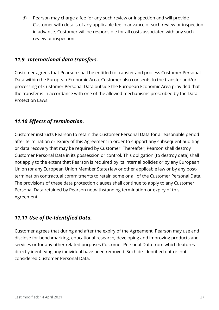d) Pearson may charge a fee for any such review or inspection and will provide Customer with details of any applicable fee in advance of such review or inspection in advance. Customer will be responsible for all costs associated with any such review or inspection.

#### <span id="page-26-0"></span>*11.9 International data transfers.*

Customer agrees that Pearson shall be entitled to transfer and process Customer Personal Data within the European Economic Area. Customer also consents to the transfer and/or processing of Customer Personal Data outside the European Economic Area provided that the transfer is in accordance with one of the allowed mechanisms prescribed by the Data Protection Laws.

#### <span id="page-26-1"></span>*11.10 Effects of termination.*

Customer instructs Pearson to retain the Customer Personal Data for a reasonable period after termination or expiry of this Agreement in order to support any subsequent auditing or data recovery that may be required by Customer. Thereafter, Pearson shall destroy Customer Personal Data in its possession or control. This obligation (to destroy data) shall not apply to the extent that Pearson is required by its internal policies or by any European Union (or any European Union Member State) law or other applicable law or by any posttermination contractual commitments to retain some or all of the Customer Personal Data. The provisions of these data protection clauses shall continue to apply to any Customer Personal Data retained by Pearson notwithstanding termination or expiry of this Agreement.

#### <span id="page-26-2"></span>*11.11 Use of De-Identified Data.*

Customer agrees that during and after the expiry of the Agreement, Pearson may use and disclose for benchmarking, educational research, developing and improving products and services or for any other related purposes Customer Personal Data from which features directly identifying any individual have been removed. Such de-identified data is not considered Customer Personal Data.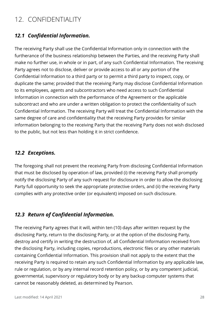### <span id="page-27-0"></span>12. CONFIDENTIALITY

#### <span id="page-27-1"></span>*12.1 Confidential Information.*

The receiving Party shall use the Confidential Information only in connection with the furtherance of the business relationship between the Parties, and the receiving Party shall make no further use, in whole or in part, of any such Confidential Information. The receiving Party agrees not to disclose, deliver or provide access to all or any portion of the Confidential Information to a third party or to permit a third party to inspect, copy, or duplicate the same; provided that the receiving Party may disclose Confidential Information to its employees, agents and subcontractors who need access to such Confidential Information in connection with the performance of the Agreement or the applicable subcontract and who are under a written obligation to protect the confidentiality of such Confidential Information. The receiving Party will treat the Confidential Information with the same degree of care and confidentiality that the receiving Party provides for similar information belonging to the receiving Party that the receiving Party does not wish disclosed to the public, but not less than holding it in strict confidence.

#### <span id="page-27-2"></span>*12.2 Exceptions.*

The foregoing shall not prevent the receiving Party from disclosing Confidential Information that must be disclosed by operation of law, provided (i) the receiving Party shall promptly notify the disclosing Party of any such request for disclosure in order to allow the disclosing Party full opportunity to seek the appropriate protective orders, and (ii) the receiving Party complies with any protective order (or equivalent) imposed on such disclosure.

#### <span id="page-27-3"></span>*12.3 Return of Confidential Information.*

The receiving Party agrees that it will, within ten (10) days after written request by the disclosing Party, return to the disclosing Party, or at the option of the disclosing Party, destroy and certify in writing the destruction of, all Confidential Information received from the disclosing Party, including copies, reproductions, electronic files or any other materials containing Confidential Information. This provision shall not apply to the extent that the receiving Party is required to retain any such Confidential Information by any applicable law, rule or regulation, or by any internal record retention policy, or by any competent judicial, governmental, supervisory or regulatory body or by any backup computer systems that cannot be reasonably deleted, as determined by Pearson.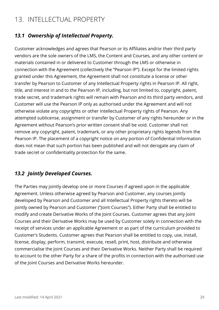### <span id="page-28-0"></span>13. INTELLECTUAL PROPERTY

#### <span id="page-28-1"></span>*13.1 Ownership of Intellectual Property.*

Customer acknowledges and agrees that Pearson or its Affiliates and/or their third party vendors are the sole owners of the LMS, the Content and Courses, and any other content or materials contained in or delivered to Customer through the LMS or otherwise in connection with the Agreement (collectively the "Pearson IP"). Except for the limited rights granted under this Agreement, the Agreement shall not constitute a license or other transfer by Pearson to Customer of any Intellectual Property rights in Pearson IP. All right, title, and interest in and to the Pearson IP, including, but not limited to, copyright, patent, trade secret, and trademark rights will remain with Pearson and its third party vendors, and Customer will use the Pearson IP only as authorised under the Agreement and will not otherwise violate any copyrights or other Intellectual Property rights of Pearson. Any attempted sublicense, assignment or transfer by Customer of any rights hereunder or in the Agreement without Pearson's prior written consent shall be void. Customer shall not remove any copyright, patent, trademark, or any other proprietary rights legends from the Pearson IP. The placement of a copyright notice on any portion of Confidential Information does not mean that such portion has been published and will not derogate any claim of trade secret or confidentiality protection for the same.

#### <span id="page-28-2"></span>*13.2 Jointly Developed Courses.*

The Parties may jointly develop one or more Courses if agreed upon in the applicable Agreement. Unless otherwise agreed by Pearson and Customer, any courses jointly developed by Pearson and Customer and all Intellectual Property rights thereto will be jointly owned by Pearson and Customer ("Joint Courses"). Either Party shall be entitled to modify and create Derivative Works of the Joint Courses. Customer agrees that any Joint Courses and their Derivative Works may be used by Customer solely in connection with the receipt of services under an applicable Agreement or as part of the curriculum provided to Customer's Students. Customer agrees that Pearson shall be entitled to copy, use, install, license, display, perform, transmit, execute, resell, print, host, distribute and otherwise commercialise the Joint Courses and their Derivative Works. Neither Party shall be required to account to the other Party for a share of the profits in connection with the authorised use of the Joint Courses and Derivative Works hereunder.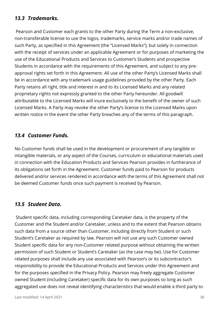#### <span id="page-29-0"></span>*13.3 Trademarks.*

Pearson and Customer each grants to the other Party during the Term a non-exclusive, non-transferable license to use the logos, trademarks, service marks and/or trade names of such Party, as specified in this Agreement (the "Licensed Marks"), but solely in connection with the receipt of services under an applicable Agreement or for purposes of marketing the use of the Educational Products and Services to Customer's Students and prospective Students in accordance with the requirements of this Agreement, and subject to any preapproval rights set forth in this Agreement. All use of the other Party's Licensed Marks shall be in accordance with any trademark usage guidelines provided by the other Party. Each Party retains all right, title and interest in and to its Licensed Marks and any related proprietary rights not expressly granted to the other Party hereunder. All goodwill attributable to the Licensed Marks will inure exclusively to the benefit of the owner of such Licensed Marks. A Party may revoke the other Party's license to the Licensed Marks upon written notice in the event the other Party breaches any of the terms of this paragraph.

#### <span id="page-29-1"></span>*13.4 Customer Funds.*

No Customer funds shall be used in the development or procurement of any tangible or intangible materials, or any aspect of the Courses, curriculum or educational materials used in connection with the Education Products and Services Pearson provides in furtherance of its obligations set forth in the Agreement. Customer funds paid to Pearson for products delivered and/or services rendered in accordance with the terms of this Agreement shall not be deemed Customer funds once such payment is received by Pearson.

#### <span id="page-29-2"></span>*13.5 Student Data.*

Student specific data, including corresponding Caretaker data, is the property of the Customer and the Student and/or Caretaker, unless and to the extent that Pearson obtains such data from a source other than Customer, including directly from Student or such Student's Caretaker as required by law. Pearson will not use any such Customer owned Student specific data for any non-Customer related purpose without obtaining the written permission of such Student or Student's Caretaker (as the case may be). Use for Customer related purposes shall include any use associated with Pearson's or its subcontractor's responsibility to provide the Educational Products and Services under this Agreement and for the purposes specified in the Privacy Policy. Pearson may freely aggregate Customer owned Student (including Caretaker) specific data for its own purposes so long as such aggregated use does not reveal identifying characteristics that would enable a third party to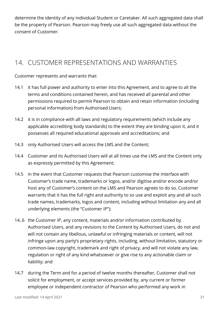determine the identity of any individual Student or Caretaker. All such aggregated data shall be the property of Pearson. Pearson may freely use all such aggregated data without the consent of Customer.

### <span id="page-30-0"></span>14. CUSTOMER REPRESENTATIONS AND WARRANTIES

Customer represents and warrants that:

- 14.1 it has full power and authority to enter into this Agreement, and to agree to all the terms and conditions contained herein, and has received all parental and other permissions required to permit Pearson to obtain and retain information (including personal information) from Authorised Users;
- 14.2 it is in compliance with all laws and regulatory requirements (which include any applicable accrediting body standards) to the extent they are binding upon it, and it possesses all required educational approvals and accreditations; and
- 14.3 only Authorised Users will access the LMS and the Content;
- 14.4 Customer and its Authorised Users will at all times use the LMS and the Content only as expressly permitted by this Agreement;
- 14.5 in the event that Customer requests that Pearson customise the interface with Customer's trade name, trademarks or logos, and/or digitise and/or encode and/or host any of Customer's content on the LMS and Pearson agrees to do so, Customer warrants that it has the full right and authority to so use and exploit any and all such trade names, trademarks, logos and content, including without limitation any and all underlying elements (the "Customer IP");
- 14..6 the Customer IP, any content, materials and/or information contributed by Authorised Users, and any revisions to the Content by Authorised Users, do not and will not contain any libellous, unlawful or infringing materials or content, will not infringe upon any party's proprietary rights, including, without limitation, statutory or common-law copyright, trademark and right of privacy, and will not violate any law, regulation or right of any kind whatsoever or give rise to any actionable claim or liability; and
- 14.7 during the Term and for a period of twelve months thereafter, Customer shall not solicit for employment, or accept services provided by, any current or former employee or independent contractor of Pearson who performed any work in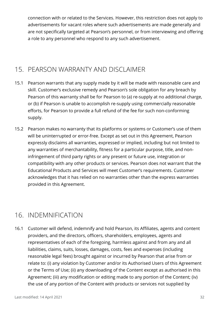connection with or related to the Services. However, this restriction does not apply to advertisements for vacant roles where such advertisements are made generally and are not specifically targeted at Pearson's personnel, or from interviewing and offering a role to any personnel who respond to any such advertisement.

### <span id="page-31-0"></span>15. PEARSON WARRANTY AND DISCLAIMER

- 15.1 Pearson warrants that any supply made by it will be made with reasonable care and skill. Customer's exclusive remedy and Pearson's sole obligation for any breach by Pearson of this warranty shall be for Pearson to (a) re-supply at no additional charge, or (b) if Pearson is unable to accomplish re-supply using commercially reasonable efforts, for Pearson to provide a full refund of the fee for such non-conforming supply.
- 15.2 Pearson makes no warranty that its platforms or systems or Customer's use of them will be uninterrupted or error-free. Except as set out in this Agreement, Pearson expressly disclaims all warranties, expressed or implied, including but not limited to any warranties of merchantability, fitness for a particular purpose, title, and noninfringement of third party rights or any present or future use, integration or compatibility with any other products or services. Pearson does not warrant that the Educational Products and Services will meet Customer's requirements. Customer acknowledges that it has relied on no warranties other than the express warranties provided in this Agreement.

### <span id="page-31-1"></span>16. INDEMNIFICATION

16.1 Customer will defend, indemnify and hold Pearson, its Affiliates, agents and content providers, and the directors, officers, shareholders, employees, agents and representatives of each of the foregoing, harmless against and from any and all liabilities, claims, suits, losses, damages, costs, fees and expenses (including reasonable legal fees) brought against or incurred by Pearson that arise from or relate to: (i) any violation by Customer and/or its Authorised Users of this Agreement or the Terms of Use; (ii) any downloading of the Content except as authorised in this Agreement; (iii) any modification or editing made to any portion of the Content; (iv) the use of any portion of the Content with products or services not supplied by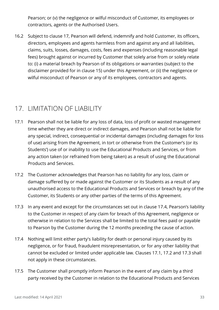Pearson; or (v) the negligence or wilful misconduct of Customer, its employees or contractors, agents or the Authorised Users.

16.2 Subject to clause 17, Pearson will defend, indemnify and hold Customer, its officers, directors, employees and agents harmless from and against any and all liabilities, claims, suits, losses, damages, costs, fees and expenses (including reasonable legal fees) brought against or incurred by Customer that solely arise from or solely relate to: (i) a material breach by Pearson of its obligations or warranties (subject to the disclaimer provided for in clause 15) under this Agreement, or (ii) the negligence or wilful misconduct of Pearson or any of its employees, contractors and agents.

### <span id="page-32-0"></span>17. LIMITATION OF LIABILITY

- 17.1 Pearson shall not be liable for any loss of data, loss of profit or wasted management time whether they are direct or indirect damages, and Pearson shall not be liable for any special, indirect, consequential or incidental damages (including damages for loss of use) arising from the Agreement, in tort or otherwise from the Customer's (or its Students') use of or inability to use the Educational Products and Services, or from any action taken (or refrained from being taken) as a result of using the Educational Products and Services.
- 17.2 The Customer acknowledges that Pearson has no liability for any loss, claim or damage suffered by or made against the Customer or its Students as a result of any unauthorised access to the Educational Products and Services or breach by any of the Customer, its Students or any other parties of the terms of this Agreement.
- 17.3 In any event and except for the circumstances set out in clause 17.4, Pearson's liability to the Customer in respect of any claim for breach of this Agreement, negligence or otherwise in relation to the Services shall be limited to the total fees paid or payable to Pearson by the Customer during the 12 months preceding the cause of action.
- 17.4 Nothing will limit either party's liability for death or personal injury caused by its negligence, or for fraud, fraudulent misrepresentation, or for any other liability that cannot be excluded or limited under applicable law. Clauses 17.1, 17.2 and 17.3 shall not apply in these circumstances.
- 17.5 The Customer shall promptly inform Pearson in the event of any claim by a third party received by the Customer in relation to the Educational Products and Services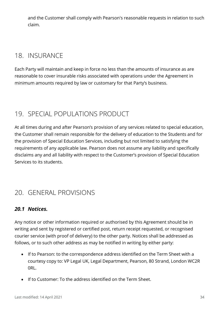and the Customer shall comply with Pearson's reasonable requests in relation to such claim.

### <span id="page-33-0"></span>18. INSURANCE

Each Party will maintain and keep in force no less than the amounts of insurance as are reasonable to cover insurable risks associated with operations under the Agreement in minimum amounts required by law or customary for that Party's business.

### <span id="page-33-1"></span>19. SPECIAL POPULATIONS PRODUCT

At all times during and after Pearson's provision of any services related to special education, the Customer shall remain responsible for the delivery of education to the Students and for the provision of Special Education Services, including but not limited to satisfying the requirements of any applicable law. Pearson does not assume any liability and specifically disclaims any and all liability with respect to the Customer's provision of Special Education Services to its students.

### <span id="page-33-2"></span>20. GENERAL PROVISIONS

#### <span id="page-33-3"></span>*20.1 Notices.*

Any notice or other information required or authorised by this Agreement should be in writing and sent by registered or certified post, return receipt requested, or recognised courier service (with proof of delivery) to the other party. Notices shall be addressed as follows, or to such other address as may be notified in writing by either party:

- If to Pearson: to the correspondence address identified on the Term Sheet with a courtesy copy to: VP Legal UK, Legal Department, Pearson, 80 Strand, London WC2R 0RL.
- If to Customer: To the address identified on the Term Sheet.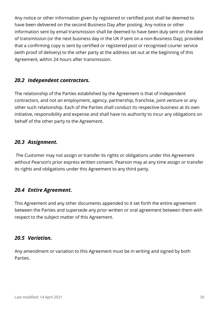Any notice or other information given by registered or certified post shall be deemed to have been delivered on the second Business Day after posting. Any notice or other information sent by email transmission shall be deemed to have been duly sent on the date of transmission (or the next business day in the UK if sent on a non-Business Day), provided that a confirming copy is sent by certified or registered post or recognised courier service (with proof of delivery) to the other party at the address set out at the beginning of this Agreement, within 24 hours after transmission.

#### <span id="page-34-0"></span>*20.2 Independent contractors.*

The relationship of the Parties established by the Agreement is that of independent contractors, and not an employment, agency, partnership, franchise, joint venture or any other such relationship. Each of the Parties shall conduct its respective business at its own initiative, responsibility and expense and shall have no authority to incur any obligations on behalf of the other party to the Agreement.

#### <span id="page-34-1"></span>*20.3 Assignment.*

The Customer may not assign or transfer its rights or obligations under this Agreement without Pearson's prior express written consent. Pearson may at any time assign or transfer its rights and obligations under this Agreement to any third party.

#### <span id="page-34-2"></span>*20.4 Entire Agreement.*

This Agreement and any other documents appended to it set forth the entire agreement between the Parties and supersede any prior written or oral agreement between them with respect to the subject matter of this Agreement.

#### <span id="page-34-3"></span>*20.5 Variation.*

Any amendment or variation to this Agreement must be in writing and signed by both Parties.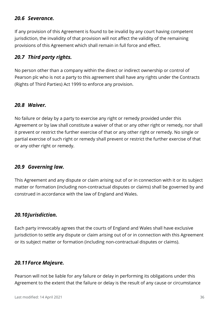#### <span id="page-35-0"></span>*20.6 Severance.*

If any provision of this Agreement is found to be invalid by any court having competent jurisdiction, the invalidity of that provision will not affect the validity of the remaining provisions of this Agreement which shall remain in full force and effect.

#### <span id="page-35-1"></span>*20.7 Third party rights.*

No person other than a company within the direct or indirect ownership or control of Pearson plc who is not a party to this agreement shall have any rights under the Contracts (Rights of Third Parties) Act 1999 to enforce any provision.

#### <span id="page-35-2"></span>*20.8 Waiver.*

No failure or delay by a party to exercise any right or remedy provided under this Agreement or by law shall constitute a waiver of that or any other right or remedy, nor shall it prevent or restrict the further exercise of that or any other right or remedy. No single or partial exercise of such right or remedy shall prevent or restrict the further exercise of that or any other right or remedy.

#### <span id="page-35-3"></span>*20.9 Governing law.*

This Agreement and any dispute or claim arising out of or in connection with it or its subject matter or formation (including non-contractual disputes or claims) shall be governed by and construed in accordance with the law of England and Wales.

#### <span id="page-35-4"></span>*20.10Jurisdiction.*

Each party irrevocably agrees that the courts of England and Wales shall have exclusive jurisdiction to settle any dispute or claim arising out of or in connection with this Agreement or its subject matter or formation (including non-contractual disputes or claims).

#### <span id="page-35-5"></span>*20.11Force Majeure.*

Pearson will not be liable for any failure or delay in performing its obligations under this Agreement to the extent that the failure or delay is the result of any cause or circumstance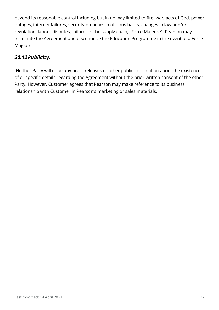beyond its reasonable control including but in no way limited to fire, war, acts of God, power outages, internet failures, security breaches, malicious hacks, changes in law and/or regulation, labour disputes, failures in the supply chain, "Force Majeure". Pearson may terminate the Agreement and discontinue the Education Programme in the event of a Force Majeure.

#### <span id="page-36-0"></span>*20.12Publicity.*

Neither Party will issue any press releases or other public information about the existence of or specific details regarding the Agreement without the prior written consent of the other Party. However, Customer agrees that Pearson may make reference to its business relationship with Customer in Pearson's marketing or sales materials.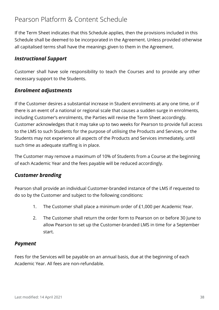### <span id="page-37-0"></span>Pearson Platform & Content Schedule

If the Term Sheet indicates that this Schedule applies, then the provisions included in this Schedule shall be deemed to be incorporated in the Agreement. Unless provided otherwise all capitalised terms shall have the meanings given to them in the Agreement.

#### <span id="page-37-1"></span>*Instructional Support*

Customer shall have sole responsibility to teach the Courses and to provide any other necessary support to the Students.

#### <span id="page-37-2"></span>*Enrolment adjustments*

If the Customer desires a substantial increase in Student enrolments at any one time, or if there is an event of a national or regional scale that causes a sudden surge in enrolments, including Customer's enrolments, the Parties will revise the Term Sheet accordingly. Customer acknowledges that it may take up to two weeks for Pearson to provide full access to the LMS to such Students for the purpose of utilising the Products and Services, or the Students may not experience all aspects of the Products and Services immediately, until such time as adequate staffing is in place.

The Customer may remove a maximum of 10% of Students from a Course at the beginning of each Academic Year and the fees payable will be reduced accordingly.

#### <span id="page-37-3"></span>*Customer branding*

Pearson shall provide an individual Customer-branded instance of the LMS if requested to do so by the Customer and subject to the following conditions:

- 1. The Customer shall place a minimum order of £1,000 per Academic Year.
- 2. The Customer shall return the order form to Pearson on or before 30 June to allow Pearson to set up the Customer-branded LMS in time for a September start.

#### <span id="page-37-4"></span>*Payment*

Fees for the Services will be payable on an annual basis, due at the beginning of each Academic Year. All fees are non-refundable.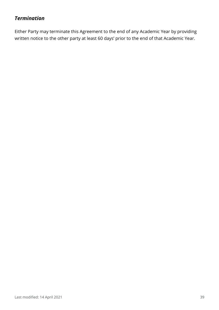#### <span id="page-38-0"></span>*Termination*

Either Party may terminate this Agreement to the end of any Academic Year by providing written notice to the other party at least 60 days' prior to the end of that Academic Year.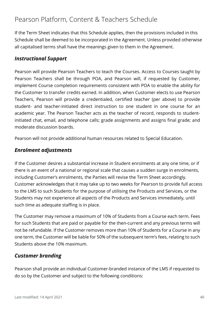### <span id="page-39-0"></span>Pearson Platform, Content & Teachers Schedule

If the Term Sheet indicates that this Schedule applies, then the provisions included in this Schedule shall be deemed to be incorporated in the Agreement. Unless provided otherwise all capitalised terms shall have the meanings given to them in the Agreement.

#### <span id="page-39-1"></span>*Instructional Support*

Pearson will provide Pearson Teachers to teach the Courses. Access to Courses taught by Pearson Teachers shall be through POA, and Pearson will, if requested by Customer, implement Course completion requirements consistent with POA to enable the ability for the Customer to transfer credits earned. In addition, when Customer elects to use Pearson Teachers, Pearson will provide a credentialed, certified teacher (per above) to provide student- and teacher-initiated direct instruction to one student in one course for an academic year. The Pearson Teacher acts as the teacher of record, responds to studentinitiated chat, email, and telephone calls; grade assignments and assigns final grade; and moderate discussion boards.

Pearson will not provide additional human resources related to Special Education.

#### <span id="page-39-2"></span>*Enrolment adjustments*

If the Customer desires a substantial increase in Student enrolments at any one time, or if there is an event of a national or regional scale that causes a sudden surge in enrolments, including Customer's enrolments, the Parties will revise the Term Sheet accordingly. Customer acknowledges that it may take up to two weeks for Pearson to provide full access to the LMS to such Students for the purpose of utilising the Products and Services, or the Students may not experience all aspects of the Products and Services immediately, until such time as adequate staffing is in place.

The Customer may remove a maximum of 10% of Students from a Course each term. Fees for such Students that are paid or payable for the then-current and any previous terms will not be refundable. If the Customer removes more than 10% of Students for a Course in any one term, the Customer will be liable for 50% of the subsequent term's fees, relating to such Students above the 10% maximum.

#### <span id="page-39-3"></span>*Customer branding*

Pearson shall provide an individual Customer-branded instance of the LMS if requested to do so by the Customer and subject to the following conditions: